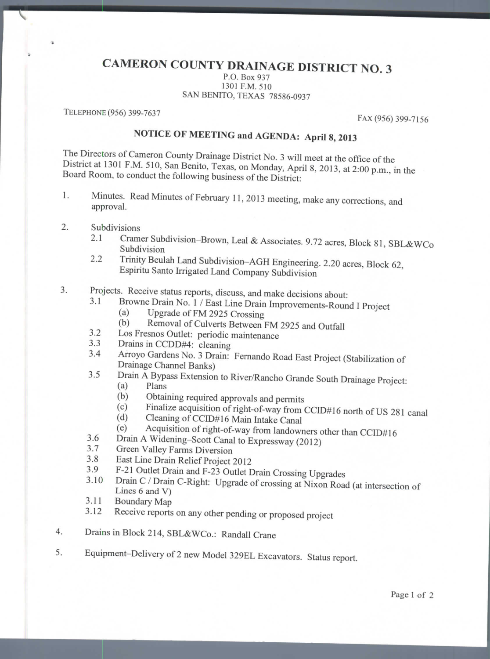## **CAMERON COUNTY DRAINAGE DISTRICT NO. 3**

P.O. Box 937 P.O. Box 937<br>1301 F.M. 510 SAN BENITO, TEXAS 78586-0937

TELEPHONE (956) 399-7637 FAX (956) 399-7156

## **NOTICE OF MEETING and AGENDA: April** 8, 2013

The Directors of Cameron County Drainage District No. 3 will meet at the office of the District at 1301 P.M. 510, San Benito, Texas, on Monday, April 8, 2013, at 2:00 p.m., in the Board Room, to conduct the following business of the District:

- 1. Minutes. Read Minutes of February 11, 2013 meeting, make any corrections, and approval.
- 2. Subdivisions
	- $2.1$  Cramer Subdivision-Brown, Leal & Associates. 9.72 ubdivision
	- 2.2 Trinity Beulah Land Subdivision-AGH Engineering. 2.20 acres, Block 62, Espiritu Santo Irrigated Land Company Subdivision
- Projects. Receive status reports, discuss, and make decisions about: 3.
	- 3.1 Browne Drain No. 1 / East Line Drain Improvements-Round I Project
		- (a) Upgrade of FM 2925 Crossing
		- (b) Removal of Culverts Between FM 2925 and Outfall
	- 3.2 Los Fresnos Outlet: periodic maintenance
	- 3.3 Drains in CCDD#4: cleaning
	- 3.4 Arroyo Gardens No. 3 Drain: Fernando Road East Project (Stabilization of Drainage Channel Banks)  $\overline{3}$  Drain A Bypass Extension to River/Rancho Grande South Drainage Project:
	- $\sum_{\text{Plans}}$ 
		-
		- (b) Obtaining required approvals and permits
		- $\lim_{x \to a} \frac{\text{cylinder approximation of the formula}}{\text{cylinder deviation of the formula}}$  $\text{C}$  Cleaning of CCID#16 Main Intake Canal
		-
		- (d) Cleaning of CCID#16 Main Intake Canal<br>(e) Acquisition of right-of-way from landowners other than CCID#16
	- 3.6 Drain A Widening-Scott Canal to Expressway (2012)
	- 3.7 Green Valley Farms Diversion
	- 3.8 East Line Drain Relief Project 2012
	- 3.9 F-21 Outlet Drain and F-23 Outlet Drain Crossing Upgrades
	- $3.10$  Drain C / Drain C-Right: Upgrade of crossing  $\alpha$  Nixon Road (at intersection of Nixon Road (at intersection of Nixon Road (at intersection of Nixon Road (at intersection of Nixon Road (at intersection of Nixon Roa  $\cos 6$  and V) Lines 6 and V)<br>3.11 Boundary Map
	-
	- 3.12 Receive reports on any other pending or proposed project
- 4. Drains in Block 214, SBL&WCo.: Randall Crane 4.
- 5. Equipment-Delivery of 2 new Model 329EL Excavators. Status report. 5.